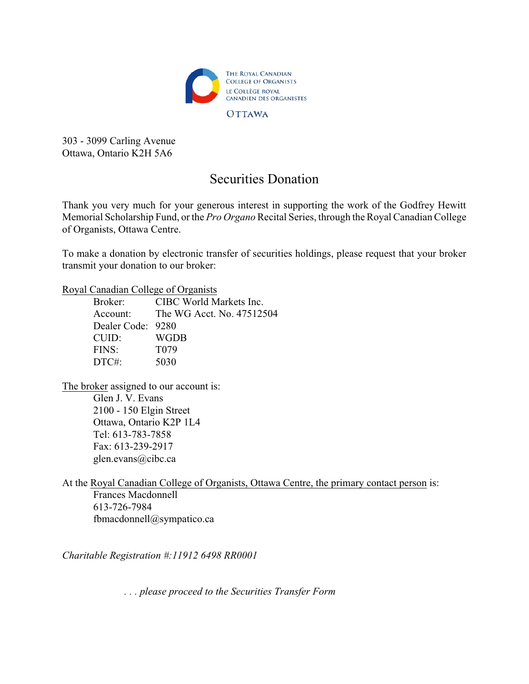

303 - 3099 Carling Avenue Ottawa, Ontario K2H 5A6

## Securities Donation

Thank you very much for your generous interest in supporting the work of the Godfrey Hewitt Memorial Scholarship Fund, or the *Pro Organo* Recital Series, through the Royal Canadian College of Organists, Ottawa Centre.

To make a donation by electronic transfer of securities holdings, please request that your broker transmit your donation to our broker:

Royal Canadian College of Organists

Broker: CIBC World Markets Inc. Account: The WG Acct. No. 47512504 Dealer Code: 9280 CUID: WGDB FINS: T079 DTC#: 5030

The broker assigned to our account is: Glen J. V. Evans 2100 - 150 Elgin Street Ottawa, Ontario K2P 1L4 Tel: 613-783-7858 Fax: 613-239-2917 glen.evans@cibc.ca

At the Royal Canadian College of Organists, Ottawa Centre, the primary contact person is: Frances Macdonnell 613-726-7984 fbmacdonnell@sympatico.ca

*Charitable Registration #:11912 6498 RR0001*

*. . . please proceed to the Securities Transfer Form*